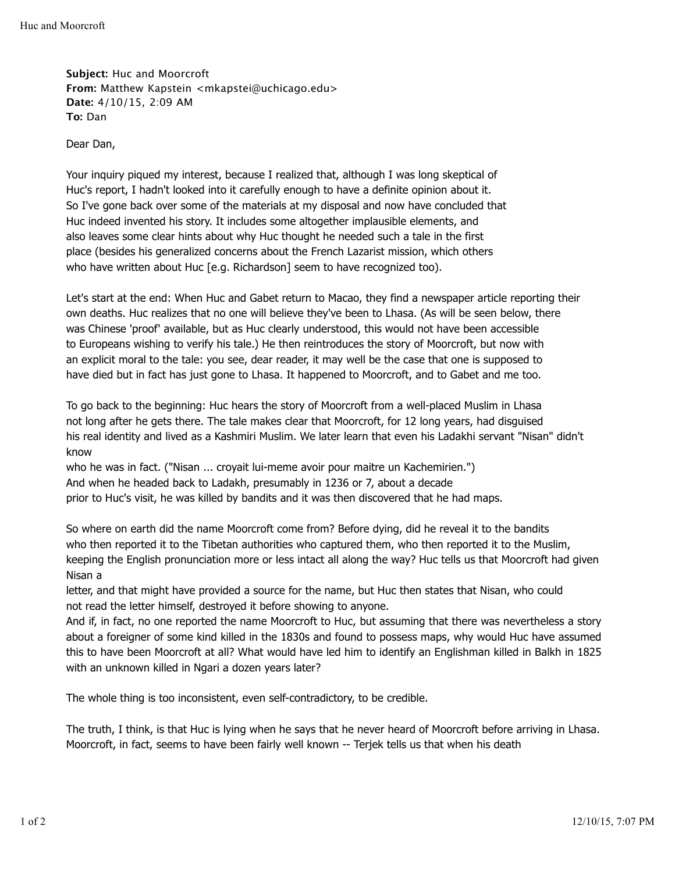**Subject:** Huc and Moorcroft **From:** Matthew Kapstein <mkapstei@uchicago.edu> **Date:** 4/10/15, 2:09 AM **To:** Dan

Dear Dan,

Your inquiry piqued my interest, because I realized that, although I was long skeptical of Huc's report, I hadn't looked into it carefully enough to have a definite opinion about it. So I've gone back over some of the materials at my disposal and now have concluded that Huc indeed invented his story. It includes some altogether implausible elements, and also leaves some clear hints about why Huc thought he needed such a tale in the first place (besides his generalized concerns about the French Lazarist mission, which others who have written about Huc [e.g. Richardson] seem to have recognized too).

Let's start at the end: When Huc and Gabet return to Macao, they find a newspaper article reporting their own deaths. Huc realizes that no one will believe they've been to Lhasa. (As will be seen below, there was Chinese 'proof' available, but as Huc clearly understood, this would not have been accessible to Europeans wishing to verify his tale.) He then reintroduces the story of Moorcroft, but now with an explicit moral to the tale: you see, dear reader, it may well be the case that one is supposed to have died but in fact has just gone to Lhasa. It happened to Moorcroft, and to Gabet and me too.

To go back to the beginning: Huc hears the story of Moorcroft from a well-placed Muslim in Lhasa not long after he gets there. The tale makes clear that Moorcroft, for 12 long years, had disguised his real identity and lived as a Kashmiri Muslim. We later learn that even his Ladakhi servant "Nisan" didn't know

who he was in fact. ("Nisan ... croyait lui-meme avoir pour maitre un Kachemirien.") And when he headed back to Ladakh, presumably in 1236 or 7, about a decade prior to Huc's visit, he was killed by bandits and it was then discovered that he had maps.

So where on earth did the name Moorcroft come from? Before dying, did he reveal it to the bandits who then reported it to the Tibetan authorities who captured them, who then reported it to the Muslim, keeping the English pronunciation more or less intact all along the way? Huc tells us that Moorcroft had given Nisan a

letter, and that might have provided a source for the name, but Huc then states that Nisan, who could not read the letter himself, destroyed it before showing to anyone.

And if, in fact, no one reported the name Moorcroft to Huc, but assuming that there was nevertheless a story about a foreigner of some kind killed in the 1830s and found to possess maps, why would Huc have assumed this to have been Moorcroft at all? What would have led him to identify an Englishman killed in Balkh in 1825 with an unknown killed in Ngari a dozen years later?

The whole thing is too inconsistent, even self-contradictory, to be credible.

The truth, I think, is that Huc is lying when he says that he never heard of Moorcroft before arriving in Lhasa. Moorcroft, in fact, seems to have been fairly well known -- Terjek tells us that when his death